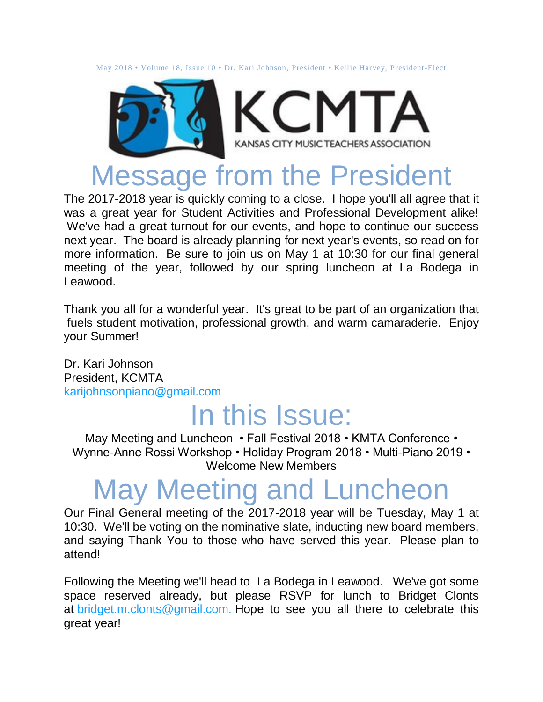May 2018 • Volume 18, Issue 10 • Dr. Kari Johnson, President • Kellie Harvey, President-Elect



### Message from the President

The 2017-2018 year is quickly coming to a close. I hope you'll all agree that it was a great year for Student Activities and Professional Development alike! We've had a great turnout for our events, and hope to continue our success next year. The board is already planning for next year's events, so read on for more information. Be sure to join us on May 1 at 10:30 for our final general meeting of the year, followed by our spring luncheon at La Bodega in Leawood.

Thank you all for a wonderful year. It's great to be part of an organization that fuels student motivation, professional growth, and warm camaraderie. Enjoy your Summer!

Dr. Kari Johnson President, KCMTA [karijohnsonpiano@gmail.com](mailto:karijohnsonpiano@gmail.com)

### In this Issue:

May Meeting and Luncheon • Fall Festival 2018 • KMTA Conference • Wynne-Anne Rossi Workshop • Holiday Program 2018 • Multi-Piano 2019 • Welcome New Members

### May Meeting and Luncheon

Our Final General meeting of the 2017-2018 year will be Tuesday, May 1 at 10:30. We'll be voting on the nominative slate, inducting new board members, and saying Thank You to those who have served this year. Please plan to attend!

Following the Meeting we'll head to La Bodega in Leawood. We've got some space reserved already, but please RSVP for lunch to Bridget Clonts at [bridget.m.clonts@gmail.com.](http://bridget.m.clonts@gmail.com/) Hope to see you all there to celebrate this great year!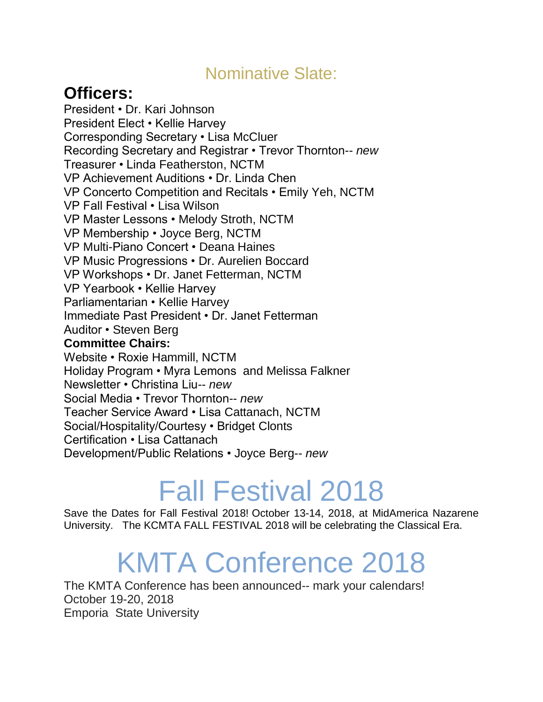### Nominative Slate:

### **Officers:**

President • Dr. Kari Johnson President Elect • Kellie Harvey Corresponding Secretary • Lisa McCluer Recording Secretary and Registrar • Trevor Thornton-- *new* Treasurer • Linda Featherston, NCTM VP Achievement Auditions • Dr. Linda Chen VP Concerto Competition and Recitals • Emily Yeh, NCTM VP Fall Festival • Lisa Wilson VP Master Lessons • Melody Stroth, NCTM VP Membership • Joyce Berg, NCTM VP Multi-Piano Concert • Deana Haines VP Music Progressions • Dr. Aurelien Boccard VP Workshops • Dr. Janet Fetterman, NCTM VP Yearbook • Kellie Harvey Parliamentarian • Kellie Harvey Immediate Past President • Dr. Janet Fetterman Auditor • Steven Berg **Committee Chairs:** Website • Roxie Hammill, NCTM Holiday Program • Myra Lemons and Melissa Falkner Newsletter • Christina Liu-- *new* Social Media • Trevor Thornton-- *new* Teacher Service Award • Lisa Cattanach, NCTM Social/Hospitality/Courtesy • Bridget Clonts Certification • Lisa Cattanach Development/Public Relations • Joyce Berg-- *new*

# Fall Festival 2018

Save the Dates for Fall Festival 2018! October 13-14, 2018, at MidAmerica Nazarene University. The KCMTA FALL FESTIVAL 2018 will be celebrating the Classical Era.

## KMTA Conference 2018

The KMTA Conference has been announced-- mark your calendars! October 19-20, 2018 Emporia State University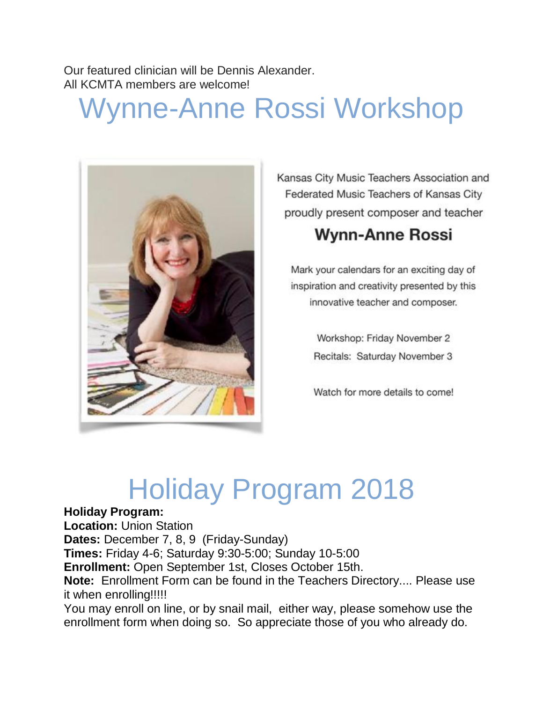Our featured clinician will be Dennis Alexander. All KCMTA members are welcome!

## Wynne-Anne Rossi Workshop



Kansas City Music Teachers Association and Federated Music Teachers of Kansas City proudly present composer and teacher

### **Wynn-Anne Rossi**

Mark your calendars for an exciting day of inspiration and creativity presented by this innovative teacher and composer.

> Workshop: Friday November 2 Recitals: Saturday November 3

> Watch for more details to come!

## Holiday Program 2018

#### **Holiday Program:**

**Location:** Union Station **Dates:** December 7, 8, 9 (Friday-Sunday) **Times:** Friday 4-6; Saturday 9:30-5:00; Sunday 10-5:00 **Enrollment:** Open September 1st, Closes October 15th. **Note:** Enrollment Form can be found in the Teachers Directory.... Please use it when enrolling!!!!! You may enroll on line, or by snail mail, either way, please somehow use the

enrollment form when doing so. So appreciate those of you who already do.